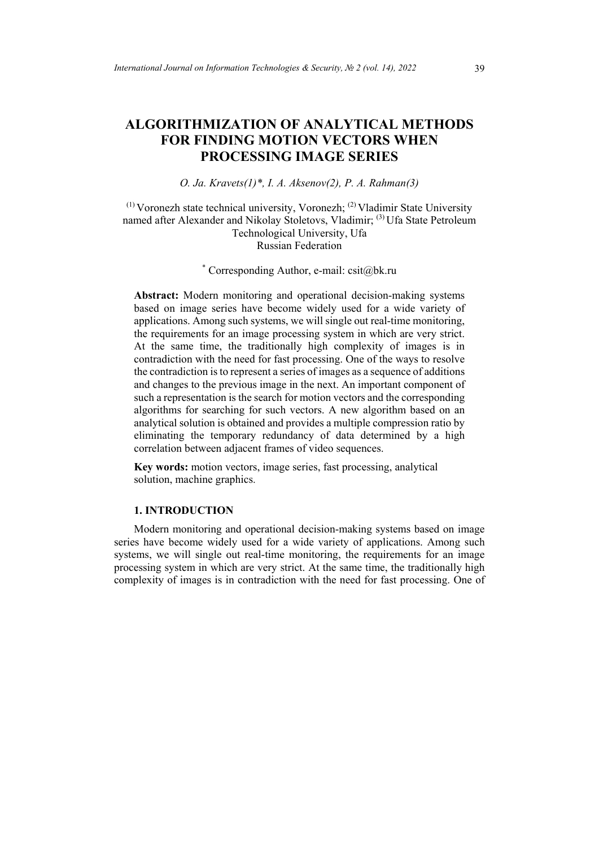# **ALGORITHMIZATION OF ANALYTICAL METHODS FOR FINDING MOTION VECTORS WHEN PROCESSING IMAGE SERIES**

## *O. Ja. Kravets(1)\*, I. A. Aksenov(2), P. A. Rahman(3)*

 $(1)$  Voronezh state technical university, Voronezh;  $(2)$  Vladimir State University named after Alexander and Nikolay Stoletovs, Vladimir; (3) Ufa State Petroleum Technological University, Ufa Russian Federation

## \* Corresponding Author, e-mail: csit@bk.ru

**Abstract:** Modern monitoring and operational decision-making systems based on image series have become widely used for a wide variety of applications. Among such systems, we will single out real-time monitoring, the requirements for an image processing system in which are very strict. At the same time, the traditionally high complexity of images is in contradiction with the need for fast processing. One of the ways to resolve the contradiction is to represent a series of images as a sequence of additions and changes to the previous image in the next. An important component of such a representation is the search for motion vectors and the corresponding algorithms for searching for such vectors. A new algorithm based on an analytical solution is obtained and provides a multiple compression ratio by eliminating the temporary redundancy of data determined by a high correlation between adjacent frames of video sequences.

**Key words:** motion vectors, image series, fast processing, analytical solution, machine graphics.

#### **1. INTRODUCTION**

Modern monitoring and operational decision-making systems based on image series have become widely used for a wide variety of applications. Among such systems, we will single out real-time monitoring, the requirements for an image processing system in which are very strict. At the same time, the traditionally high complexity of images is in contradiction with the need for fast processing. One of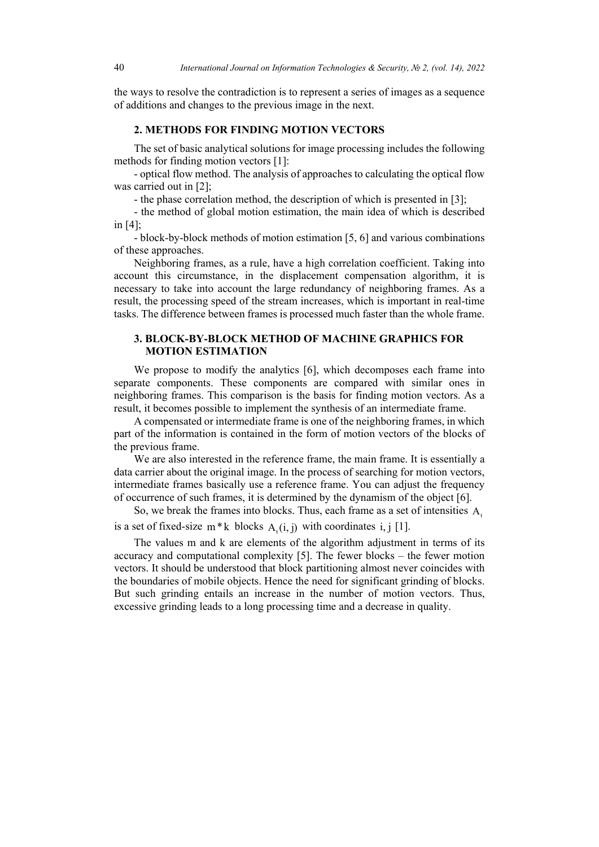the ways to resolve the contradiction is to represent a series of images as a sequence of additions and changes to the previous image in the next.

#### **2. METHODS FOR FINDING MOTION VECTORS**

The set of basic analytical solutions for image processing includes the following methods for finding motion vectors [1]:

- optical flow method. The analysis of approaches to calculating the optical flow was carried out in [2];

- the phase correlation method, the description of which is presented in [3];

- the method of global motion estimation, the main idea of which is described in [4];

- block-by-block methods of motion estimation [5, 6] and various combinations of these approaches.

Neighboring frames, as a rule, have a high correlation coefficient. Taking into account this circumstance, in the displacement compensation algorithm, it is necessary to take into account the large redundancy of neighboring frames. As a result, the processing speed of the stream increases, which is important in real-time tasks. The difference between frames is processed much faster than the whole frame.

#### **3. BLOCK-BY-BLOCK METHOD OF MACHINE GRAPHICS FOR MOTION ESTIMATION**

We propose to modify the analytics [6], which decomposes each frame into separate components. These components are compared with similar ones in neighboring frames. This comparison is the basis for finding motion vectors. As a result, it becomes possible to implement the synthesis of an intermediate frame.

A compensated or intermediate frame is one of the neighboring frames, in which part of the information is contained in the form of motion vectors of the blocks of the previous frame.

We are also interested in the reference frame, the main frame. It is essentially a data carrier about the original image. In the process of searching for motion vectors, intermediate frames basically use a reference frame. You can adjust the frequency of occurrence of such frames, it is determined by the dynamism of the object [6].

So, we break the frames into blocks. Thus, each frame as a set of intensities A.

is a set of fixed-size  $m * k$  blocks  $A_i(i, j)$  with coordinates i, j [1].

The values m and k are elements of the algorithm adjustment in terms of its accuracy and computational complexity [5]. The fewer blocks – the fewer motion vectors. It should be understood that block partitioning almost never coincides with the boundaries of mobile objects. Hence the need for significant grinding of blocks. But such grinding entails an increase in the number of motion vectors. Thus, excessive grinding leads to a long processing time and a decrease in quality.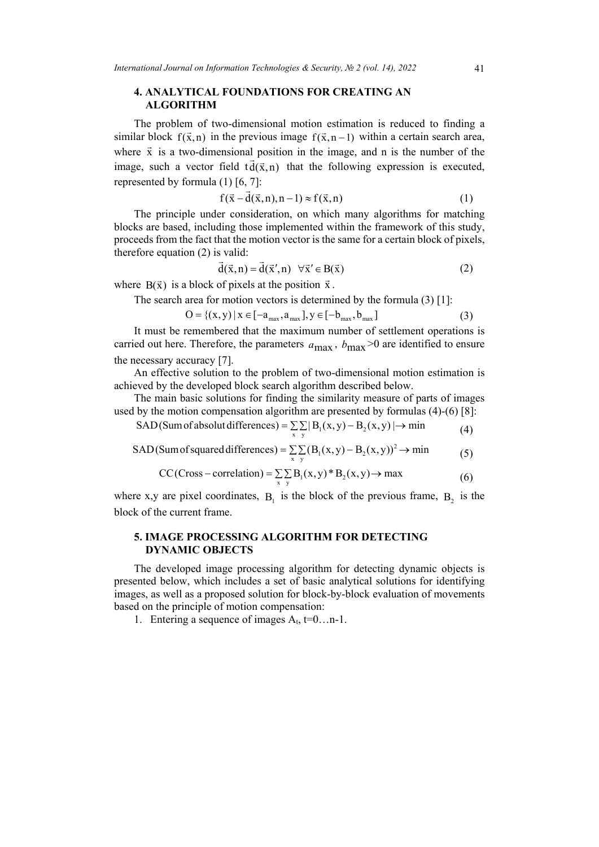## **4. ANALYTICAL FOUNDATIONS FOR CREATING AN ALGORITHM**

The problem of two-dimensional motion estimation is reduced to finding a similar block  $f(\vec{x},n)$  in the previous image  $f(\vec{x},n-1)$  within a certain search area, where  $\vec{x}$  is a two-dimensional position in the image, and n is the number of the image, such a vector field  $\tau \, d(\vec{x}, n)$  that the following expression is executed, represented by formula (1) [6, 7]:

$$
f(\vec{x} - \vec{d}(\vec{x}, n), n-1) \approx f(\vec{x}, n)
$$
\n(1)

The principle under consideration, on which many algorithms for matching blocks are based, including those implemented within the framework of this study, proceeds from the fact that the motion vector is the same for a certain block of pixels, therefore equation (2) is valid:

$$
\vec{d}(\vec{x}, n) = \vec{d}(\vec{x}', n) \quad \forall \vec{x}' \in B(\vec{x})
$$
 (2)

where  $B(\vec{x})$  is a block of pixels at the position  $\vec{x}$ .

The search area for motion vectors is determined by the formula (3) [1]:

$$
O = \{(x, y) | x \in [-a_{max}, a_{max}], y \in [-b_{max}, b_{max}]
$$
\n(3)

It must be remembered that the maximum number of settlement operations is carried out here. Therefore, the parameters  $a_{\text{max}}$ ,  $b_{\text{max}} > 0$  are identified to ensure the necessary accuracy [7].

An effective solution to the problem of two-dimensional motion estimation is achieved by the developed block search algorithm described below.

The main basic solutions for finding the similarity measure of parts of images used by the motion compensation algorithm are presented by formulas (4)-(6) [8]:

$$
SAD(Sum of absolute differences) = \sum_{x} \sum_{y} |B_1(x, y) - B_2(x, y)| \rightarrow min
$$
 (4)

SAD(Sum of squared differences) =  $\sum_{x} (B_1(x, y) - B_2(x, y))^2 \rightarrow min$  (5)

$$
CC(Cross-correlation) = \sum_{x} \sum_{y} B_1(x, y)^* B_2(x, y) \rightarrow \max
$$
 (6)

where x,y are pixel coordinates,  $B_1$  is the block of the previous frame,  $B_2$  is the block of the current frame.

## **5. IMAGE PROCESSING ALGORITHM FOR DETECTING DYNAMIC OBJECTS**

The developed image processing algorithm for detecting dynamic objects is presented below, which includes a set of basic analytical solutions for identifying images, as well as a proposed solution for block-by-block evaluation of movements based on the principle of motion compensation:

1. Entering a sequence of images  $A_t$ ,  $t=0...n-1$ .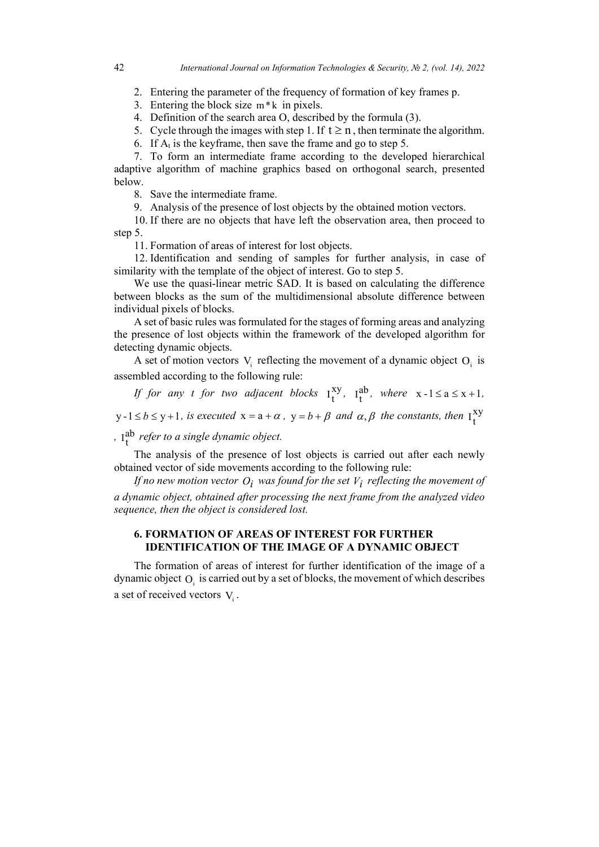2. Entering the parameter of the frequency of formation of key frames p.

3. Entering the block size  $m*k$  in pixels.

4. Definition of the search area O, described by the formula (3).

5. Cycle through the images with step 1. If  $t \ge n$ , then terminate the algorithm.

6. If  $A_t$  is the keyframe, then save the frame and go to step 5.

7. To form an intermediate frame according to the developed hierarchical adaptive algorithm of machine graphics based on orthogonal search, presented below.

8. Save the intermediate frame.

9. Analysis of the presence of lost objects by the obtained motion vectors.

10. If there are no objects that have left the observation area, then proceed to step 5.

11. Formation of areas of interest for lost objects.

12. Identification and sending of samples for further analysis, in case of similarity with the template of the object of interest. Go to step 5.

We use the quasi-linear metric SAD. It is based on calculating the difference between blocks as the sum of the multidimensional absolute difference between individual pixels of blocks.

A set of basic rules was formulated for the stages of forming areas and analyzing the presence of lost objects within the framework of the developed algorithm for detecting dynamic objects.

A set of motion vectors  $V_i$  reflecting the movement of a dynamic object  $O_i$  is assembled according to the following rule:

If for any *t* for two adjacent blocks  $I_t^{xy}$ ,  $I_t^{ab}$ , where  $x -1 \le a \le x +1$ ,  $y - 1 \le b \le y + 1$ , *is executed*  $x = a + \alpha$ ,  $y = b + \beta$  *and*  $\alpha, \beta$  *the constants, then*  $I_t^{xy}$ 

*,* ab tI *refer to a single dynamic object.*

The analysis of the presence of lost objects is carried out after each newly obtained vector of side movements according to the following rule:

*If no new motion vector*  $O_i$  *was found for the set*  $V_i$  *reflecting the movement of a dynamic object, obtained after processing the next frame from the analyzed video sequence, then the object is considered lost.*

### **6. FORMATION OF AREAS OF INTEREST FOR FURTHER IDENTIFICATION OF THE IMAGE OF A DYNAMIC OBJECT**

The formation of areas of interest for further identification of the image of a dynamic object  $O_i$  is carried out by a set of blocks, the movement of which describes a set of received vectors  $V_i$ .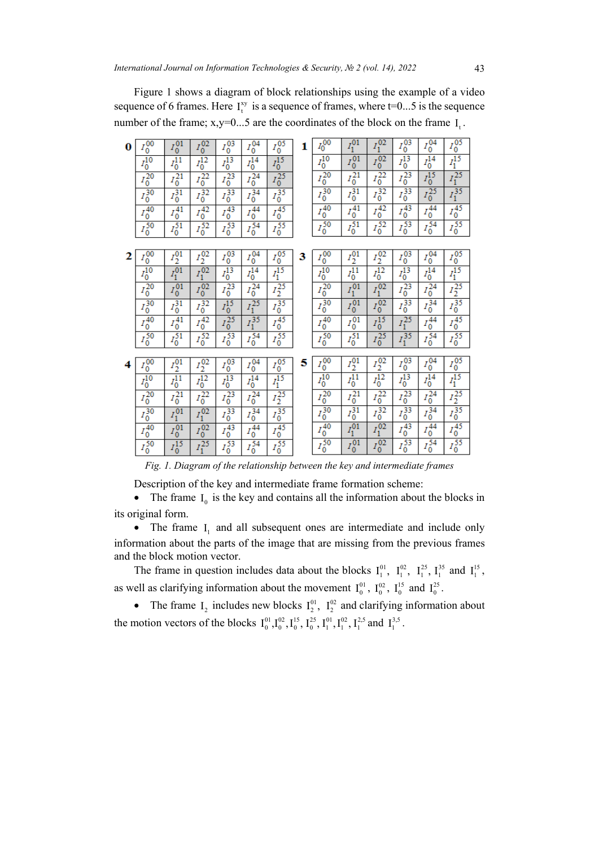Figure 1 shows a diagram of block relationships using the example of a video sequence of 6 frames. Here  $I_t^{xy}$  is a sequence of frames, where  $t=0...5$  is the sequence number of the frame; x,y=0...5 are the coordinates of the block on the frame  $I_t$ .

| 0 | $I_0^{\overline{00}}$ | $I_0^{\overline{01}}$ | $I_0^{\overline{02}}$       | $I_0^{\overline{03}}$ | $I_0^{\overline{04}}$ | $I_0^{\overline{05}}$ | 1 | $I_0^{\overline{00}}$ | $I_1^{01}$                       | $I_1^{\overline{02}}$ | $I_0^{\overline{03}}$ | $I_0^{\overline{04}}$ | $\frac{I_0^{05}}{I_1^{15}}$              |
|---|-----------------------|-----------------------|-----------------------------|-----------------------|-----------------------|-----------------------|---|-----------------------|----------------------------------|-----------------------|-----------------------|-----------------------|------------------------------------------|
|   | $\overline{I_0^{10}}$ | $I_0^{11}$            | $\overline{I_0^{12}}$       | $I_0^{\frac{1}{13}}$  | $\frac{1}{I_0^{14}}$  | $I_0^{15}$            |   | $\overline{I_0^{10}}$ | $I_0^{01}$                       | $I_0^{\frac{1}{02}}$  | $I_0^{13}$            | $I_0^{14}$            |                                          |
|   | $\frac{1}{I_0^{20}}$  | $\overline{I_0^{21}}$ | $\frac{2}{I_0^{22}}$        | $\frac{1}{I_0^{23}}$  | $I_0^{\frac{1}{24}}$  | $I_0^{\frac{1}{25}}$  |   | $\frac{c}{I_0^{20}}$  | $\overline{I_0^{21}}$            | $I_0^{\frac{1}{22}}$  | $I_0^{\frac{1}{23}}$  | $I_0^{15}$            | $\frac{1}{I_1^{25}}$                     |
|   | $\frac{1}{I_0^{30}}$  | $\frac{1}{I_0^{31}}$  | $\frac{1}{10^{32}}$         | $\frac{1}{I_0^{33}}$  | $I_0^{\frac{1}{34}}$  | $I_0^{\frac{1}{35}}$  |   | $\frac{1}{I_0^{30}}$  | $\frac{1}{I_0^{31}}$             | $I_0^{\frac{5}{32}}$  | $\frac{1}{I_0^{33}}$  | $I_0^{\frac{2}{25}}$  | $\frac{1}{I_1^{35}}$                     |
|   | $I_0^{\overline{40}}$ | $I_0^{\overline{41}}$ | $I_0^{42}$                  | $I_0^{\frac{1}{43}}$  | $I_0^{44}$            | $\frac{1}{I_0^{45}}$  |   | $I_0^{\overline{40}}$ | $\overline{I_0^{41}}$            | $I_0^{\overline{42}}$ | $I_0^{\frac{1}{43}}$  | $I_0^{\frac{1}{44}}$  | $I_0^{\frac{1}{45}}$                     |
|   | $\frac{1}{I_0^{50}}$  | $I_0^{\frac{1}{51}}$  | $I_0^{\frac{2}{52}}$        | $\frac{1}{10}$        | $I_0^{\frac{1}{54}}$  | $\frac{1}{10}$        |   | $\frac{1}{I_0^{50}}$  | $I_0^{\overline{51}}$            | $I_0^{\overline{52}}$ | $\frac{1}{10}$        | $\frac{1}{10}$        | $\frac{6}{I_0^{55}}$                     |
|   |                       |                       |                             |                       |                       |                       |   |                       |                                  |                       |                       |                       |                                          |
| 2 | $I_0^{\overline{00}}$ | $I_2^{01}$            | $I_2^{\overline{02}}$       | $I_0^{\overline{03}}$ | $I_0^{\overline{04}}$ | $I_0^{\overline{05}}$ | 3 | $I_0^{\overline{00}}$ | $I_2^{\overline{01}}$            | $I_2^{\overline{02}}$ | $I_0^{\overline{03}}$ | $I_0^{\overline{04}}$ | $I_0^{05}$                               |
|   | $\overline{I_0^{10}}$ | $I_1^{01}$            | $I_1^{\frac{2}{02}}$        | $I_0^{13}$            | $I_0^{\overline{14}}$ | $\frac{1}{4}$         |   | $\overline{I_0^{10}}$ | $\overline{I_0^{11}}$            | $I_0^{\frac{1}{12}}$  | $\frac{1}{I_0^{13}}$  | $I_0^{14}$            | $\frac{1}{I_1^{15}}$                     |
|   | $\frac{1}{I_0^{20}}$  | $I_0^{01}$            | $I_0^{\overline{02}}$       | $I_0^{\frac{1}{23}}$  | $I_0^{24}$            | $\frac{1}{I_2^{25}}$  |   | $\frac{1}{I_0^{20}}$  | $I_1^{01}$                       | $I_1^{02}$            | $\frac{1}{I_0^{23}}$  | $I_0^{\frac{1}{24}}$  | $rac{1}{I_2^{25}}$<br>$rac{1}{I_0^{35}}$ |
|   | $\frac{1}{I_0^{30}}$  | $I_0^{31}$            | $I_0^{\frac{1}{32}}$        | $I_0^{15}$            | $\frac{1}{I_1^{25}}$  | $\frac{1}{I_0^{35}}$  |   | $\frac{1}{I_0^{30}}$  | $I_0^{01}$                       | $I_0^{02}$            | $\frac{6}{I_0^{33}}$  | $I_0^{\frac{2}{34}}$  |                                          |
|   | $I_0^{\overline{40}}$ | $I_0^{\overline{41}}$ | $\frac{1}{I_0^{42}}$        | $I_0^{\frac{1}{25}}$  | $I_1^{\frac{1}{35}}$  | $I_0^{\frac{1}{45}}$  |   | $I_0^{\frac{1}{40}}$  | $I_0^{\overline{0}\overline{1}}$ | $I_0^{\frac{1}{15}}$  | $I_1^{\frac{1}{25}}$  | $I_0^{\overline{44}}$ | $I_0^{\frac{1}{45}}$                     |
|   | $\frac{1}{I_0^{50}}$  | $\frac{1}{I_0^{51}}$  | $\frac{1}{10}$              | $I_0^{\frac{1}{53}}$  | $I_0^{\frac{1}{54}}$  | $\frac{6}{I_0^{55}}$  |   | $\frac{1}{I_0^{50}}$  | $\frac{1}{I_0^{51}}$             | $I_0^{\frac{2}{25}}$  | $I_1^{\frac{1}{35}}$  | $I_0^{\frac{5}{54}}$  | $\frac{6}{I_0^{55}}$                     |
|   |                       |                       |                             |                       |                       |                       |   |                       |                                  |                       |                       |                       |                                          |
| 4 | $I_0^{\overline{00}}$ | $I_2^{\overline{01}}$ | $I_2^{\overline{02}}$       | $I_0^{\overline{03}}$ | $I_0^{\overline{04}}$ | $I_0^{\overline{05}}$ | 5 | $I_0^{\overline{00}}$ | $I_2^{\overline{01}}$            | $I_2^{\overline{02}}$ | $I_0^{03}$            | $I_0^{\overline{04}}$ | $\frac{I_0^{05}}{I_1^{15}}$              |
|   | $I_0^{10}$            | $\overline{I_0^{11}}$ | $I_0^{\overline{12}}$       | $I_0^{\overline{13}}$ | $\overline{I_0^{14}}$ | $\frac{1}{1^{15}}$    |   | $\overline{I_0^{10}}$ | $\overline{I_0^{11}}$            | $\frac{1}{I_0^{12}}$  | $I_0^{\overline{13}}$ | $I_0^{\overline{14}}$ |                                          |
|   | $\frac{1}{I_0^{20}}$  | $\frac{1}{I_0^{21}}$  | $\frac{1}{2}$<br>$I_0^{22}$ | $I_0^{\frac{1}{23}}$  | $I_0^{24}$            | $\frac{1}{I_2^{25}}$  |   | $I_0^{\overline{20}}$ | $\overline{I_0^{21}}$            | $I_0^{\overline{22}}$ | $I_0^{\frac{1}{23}}$  | $I_0^{\overline{24}}$ | $I_2^{\frac{1}{25}}$                     |
|   | $I_0^{30}$            | $I_1^{01}$            | $I_1^{\overline{02}}$       | $I_0^{\overline{33}}$ | $I_0^{34}$            | $\frac{1}{I_0^{35}}$  |   | $\frac{1}{I_0^{30}}$  | $\frac{1}{I_0^{31}}$             | $I_0^{\frac{2}{32}}$  | $\frac{1}{I_0^{33}}$  | $\frac{1}{10}$        | $\frac{2}{I_0^{35}}$                     |
|   | $I_0^{\overline{40}}$ | $I_0^{01}$            | $I_0^{\overline{02}}$       | $I_0^{\frac{1}{43}}$  | $I_0^{\frac{1}{44}}$  | $\frac{6}{I_0^{45}}$  |   | $\frac{1}{I_0^{40}}$  | $I_1^{01}$                       | $I_1^{02}$            | $I_0^{\frac{1}{43}}$  | $I_0^{\frac{1}{44}}$  | $rac{1}{I_0^{45}}$<br>$rac{1}{I_0^{55}}$ |
|   | $\frac{1}{I_0^{50}}$  | $\frac{1}{I_0^{15}}$  | $I_1^{\frac{25}{25}}$       | $I_0^{\frac{1}{53}}$  | $I_0^{\frac{1}{54}}$  | $\frac{1}{10}$        |   | $\frac{1}{I_0^{50}}$  | $I_0^{01}$                       | $I_0^{\overline{02}}$ | $\frac{1}{10}$        | $I_0^{\frac{5}{54}}$  |                                          |
|   |                       |                       |                             |                       |                       |                       |   |                       |                                  |                       |                       |                       |                                          |

*Fig. 1. Diagram of the relationship between the key and intermediate frames*

Description of the key and intermediate frame formation scheme:

• The frame  $I_0$  is the key and contains all the information about the blocks in its original form.

• The frame I, and all subsequent ones are intermediate and include only information about the parts of the image that are missing from the previous frames and the block motion vector.

The frame in question includes data about the blocks  $I_1^{01}$ ,  $I_1^{02}$ ,  $I_1^{25}$ ,  $I_1^{35}$  and  $I_1^{15}$ , as well as clarifying information about the movement  $I_0^{01}$ ,  $I_0^{02}$ ,  $I_0^{15}$  and  $I_0^{25}$ .

• The frame  $I_2$  includes new blocks  $I_2^{01}$ ,  $I_2^{02}$  and clarifying information about the motion vectors of the blocks  $I_0^{01}, I_0^{02}, I_0^{15}, I_0^{25}, I_1^{01}, I_1^{02}, I_1^{25}$  and  $I_1^{3,5}$ .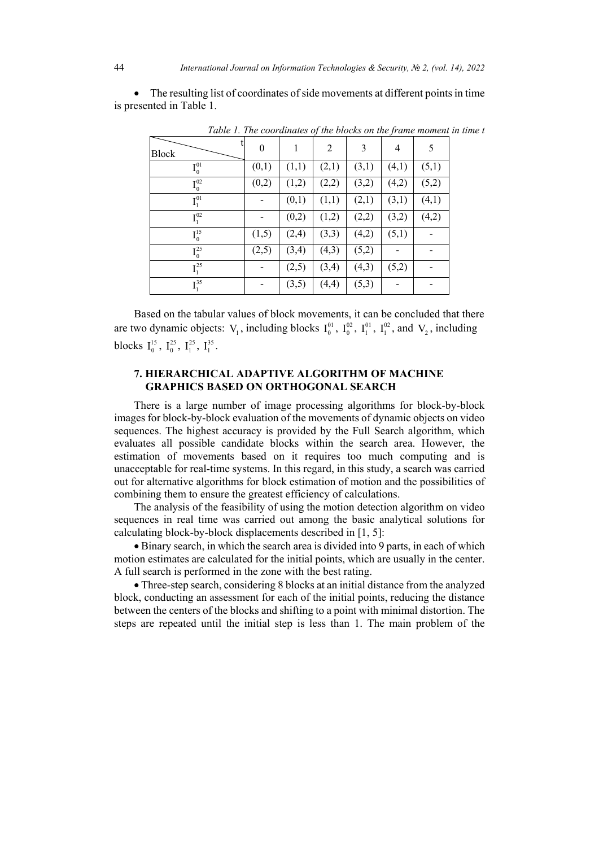|                              | Table 1. The coordinates of the blocks on the frame moment in time t |       |                |       |       |       |
|------------------------------|----------------------------------------------------------------------|-------|----------------|-------|-------|-------|
| <b>Block</b>                 | $\Omega$                                                             |       | $\overline{2}$ | 3     | 4     | 5     |
| $I_0^{01}$                   | (0,1)                                                                | (1,1) | (2,1)          | (3,1) | (4,1) | (5,1) |
| $I_0^{02}$                   | (0,2)                                                                | (1,2) | (2,2)          | (3,2) | (4,2) | (5,2) |
| $I_1^{01}$                   |                                                                      | (0,1) | (1,1)          | (2,1) | (3,1) | (4,1) |
| $I_1^{02}$                   |                                                                      | (0,2) | (1,2)          | (2,2) | (3,2) | (4,2) |
| $I_0^{15}$                   | (1,5)                                                                | (2,4) | (3,3)          | (4,2) | (5,1) |       |
| $I_0^{25}$                   | (2,5)                                                                | (3,4) | (4,3)          | (5,2) |       |       |
| $I_1^{25}$                   |                                                                      | (2,5) | (3,4)          | (4,3) | (5,2) |       |
| I <sub>1</sub> <sup>35</sup> |                                                                      | (3,5) | (4,4)          | (5,3) |       |       |

• The resulting list of coordinates of side movements at different points in time is presented in Table 1.

Based on the tabular values of block movements, it can be concluded that there are two dynamic objects:  $V_1$ , including blocks  $I_0^{01}$ ,  $I_0^{02}$ ,  $I_1^{01}$ ,  $I_1^{02}$ , and  $V_2$ , including blocks  $I_0^{15}$ ,  $I_0^{25}$ ,  $I_1^{25}$ ,  $I_1^{35}$ .

## **7. HIERARCHICAL ADAPTIVE ALGORITHM OF MACHINE GRAPHICS BASED ON ORTHOGONAL SEARCH**

There is a large number of image processing algorithms for block-by-block images for block-by-block evaluation of the movements of dynamic objects on video sequences. The highest accuracy is provided by the Full Search algorithm, which evaluates all possible candidate blocks within the search area. However, the estimation of movements based on it requires too much computing and is unacceptable for real-time systems. In this regard, in this study, a search was carried out for alternative algorithms for block estimation of motion and the possibilities of combining them to ensure the greatest efficiency of calculations.

The analysis of the feasibility of using the motion detection algorithm on video sequences in real time was carried out among the basic analytical solutions for calculating block-by-block displacements described in [1, 5]:

• Binary search, in which the search area is divided into 9 parts, in each of which motion estimates are calculated for the initial points, which are usually in the center. A full search is performed in the zone with the best rating.

• Three-step search, considering 8 blocks at an initial distance from the analyzed block, conducting an assessment for each of the initial points, reducing the distance between the centers of the blocks and shifting to a point with minimal distortion. The steps are repeated until the initial step is less than 1. The main problem of the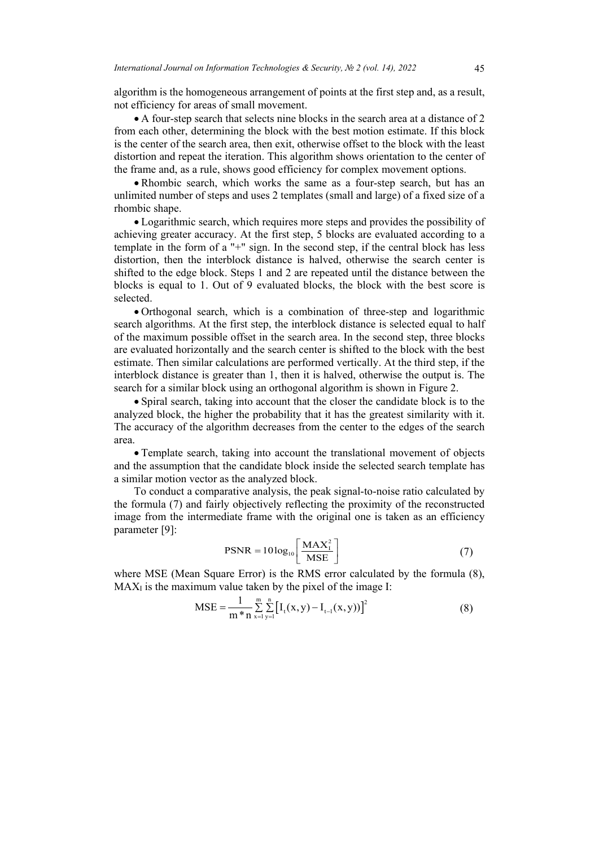algorithm is the homogeneous arrangement of points at the first step and, as a result, not efficiency for areas of small movement.

• A four-step search that selects nine blocks in the search area at a distance of 2 from each other, determining the block with the best motion estimate. If this block is the center of the search area, then exit, otherwise offset to the block with the least distortion and repeat the iteration. This algorithm shows orientation to the center of the frame and, as a rule, shows good efficiency for complex movement options.

• Rhombic search, which works the same as a four-step search, but has an unlimited number of steps and uses 2 templates (small and large) of a fixed size of a rhombic shape.

• Logarithmic search, which requires more steps and provides the possibility of achieving greater accuracy. At the first step, 5 blocks are evaluated according to a template in the form of a "+" sign. In the second step, if the central block has less distortion, then the interblock distance is halved, otherwise the search center is shifted to the edge block. Steps 1 and 2 are repeated until the distance between the blocks is equal to 1. Out of 9 evaluated blocks, the block with the best score is selected.

• Orthogonal search, which is a combination of three-step and logarithmic search algorithms. At the first step, the interblock distance is selected equal to half of the maximum possible offset in the search area. In the second step, three blocks are evaluated horizontally and the search center is shifted to the block with the best estimate. Then similar calculations are performed vertically. At the third step, if the interblock distance is greater than 1, then it is halved, otherwise the output is. The search for a similar block using an orthogonal algorithm is shown in Figure 2.

• Spiral search, taking into account that the closer the candidate block is to the analyzed block, the higher the probability that it has the greatest similarity with it. The accuracy of the algorithm decreases from the center to the edges of the search area.

• Template search, taking into account the translational movement of objects and the assumption that the candidate block inside the selected search template has a similar motion vector as the analyzed block.

To conduct a comparative analysis, the peak signal-to-noise ratio calculated by the formula (7) and fairly objectively reflecting the proximity of the reconstructed image from the intermediate frame with the original one is taken as an efficiency parameter [9]:

$$
PSNR = 10\log_{10}\left[\frac{\text{MAX}_1^2}{\text{MSE}}\right]
$$
 (7)

where MSE (Mean Square Error) is the RMS error calculated by the formula (8),  $MAX<sub>I</sub>$  is the maximum value taken by the pixel of the image I:

$$
MSE = \frac{1}{m * n} \sum_{x=1}^{m} \sum_{y=1}^{n} \left[ I_t(x, y) - I_{t-1}(x, y) \right]^2
$$
 (8)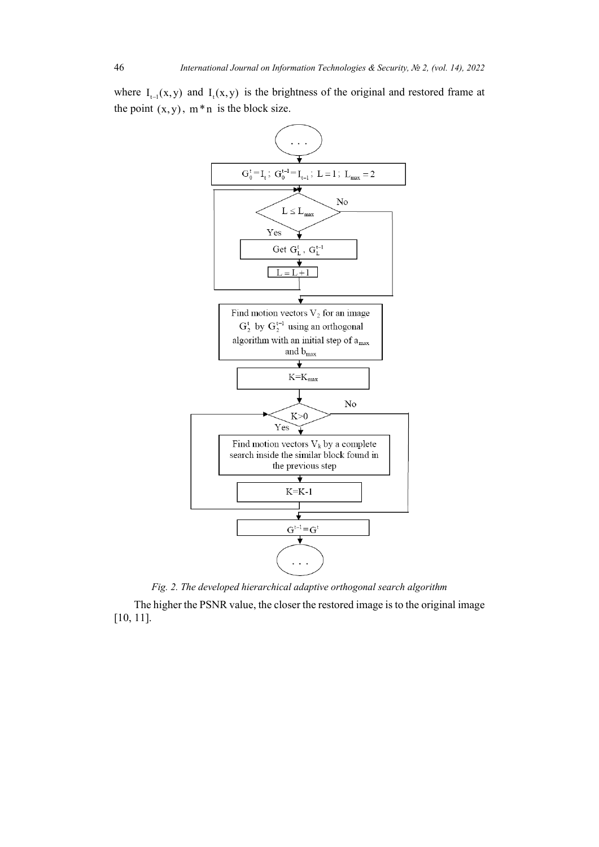where  $I_{t-1}(x,y)$  and  $I_{t}(x,y)$  is the brightness of the original and restored frame at the point  $(x, y)$ ,  $m * n$  is the block size.



*Fig. 2. The developed hierarchical adaptive orthogonal search algorithm*

The higher the PSNR value, the closer the restored image is to the original image [10, 11].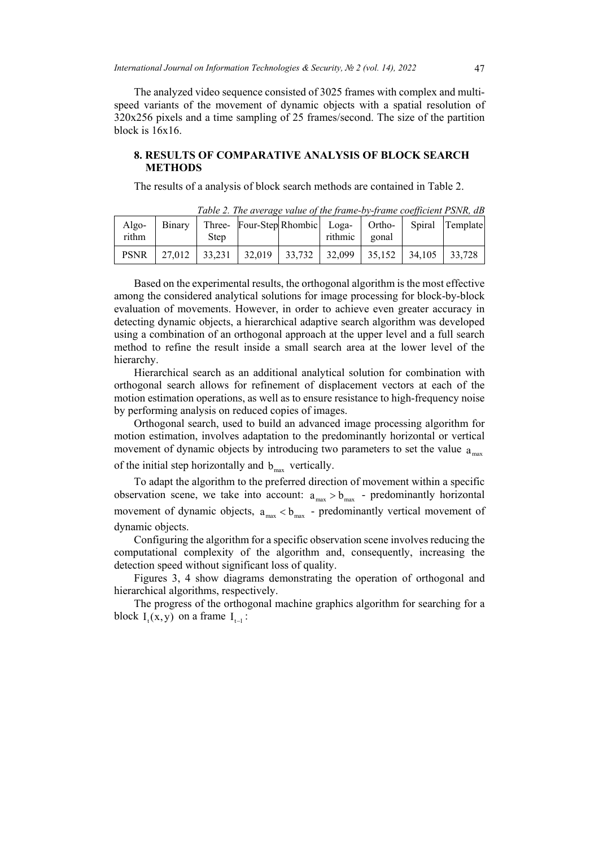The analyzed video sequence consisted of 3025 frames with complex and multispeed variants of the movement of dynamic objects with a spatial resolution of 320x256 pixels and a time sampling of 25 frames/second. The size of the partition block is 16x16.

#### **8. RESULTS OF COMPARATIVE ANALYSIS OF BLOCK SEARCH METHODS**

The results of a analysis of block search methods are contained in Table 2.

| Algo-<br>rithm | Step | Binary   Three- Four-Step Rhombic Loga-                               | rithmic | gonal | <b>Ortho-</b> Spiral Template |
|----------------|------|-----------------------------------------------------------------------|---------|-------|-------------------------------|
| <b>PSNR</b>    |      | 27,012   33,231   32,019   33,732   32,099   35,152   34,105   33,728 |         |       |                               |

*Table 2. The average value of the frame-by-frame coefficient PSNR, dB*

Based on the experimental results, the orthogonal algorithm is the most effective among the considered analytical solutions for image processing for block-by-block evaluation of movements. However, in order to achieve even greater accuracy in detecting dynamic objects, a hierarchical adaptive search algorithm was developed using a combination of an orthogonal approach at the upper level and a full search method to refine the result inside a small search area at the lower level of the hierarchy.

Hierarchical search as an additional analytical solution for combination with orthogonal search allows for refinement of displacement vectors at each of the motion estimation operations, as well as to ensure resistance to high-frequency noise by performing analysis on reduced copies of images.

Orthogonal search, used to build an advanced image processing algorithm for motion estimation, involves adaptation to the predominantly horizontal or vertical movement of dynamic objects by introducing two parameters to set the value  $a_{\text{max}}$ of the initial step horizontally and  $b_{\text{max}}$  vertically.

To adapt the algorithm to the preferred direction of movement within a specific observation scene, we take into account:  $a_{max} > b_{max}$  - predominantly horizontal movement of dynamic objects,  $a_{\text{max}} < b_{\text{max}}$  - predominantly vertical movement of dynamic objects.

Configuring the algorithm for a specific observation scene involves reducing the computational complexity of the algorithm and, consequently, increasing the detection speed without significant loss of quality.

Figures 3, 4 show diagrams demonstrating the operation of orthogonal and hierarchical algorithms, respectively.

The progress of the orthogonal machine graphics algorithm for searching for a block  $I_t(x, y)$  on a frame  $I_{t-1}$ :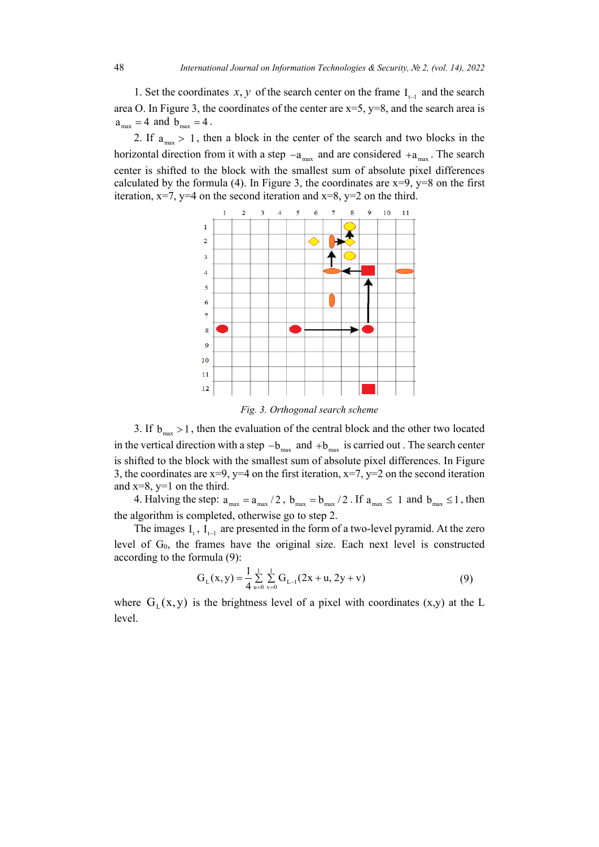1. Set the coordinates  $x, y$  of the search center on the frame  $I_{t-1}$  and the search area O. In Figure 3, the coordinates of the center are  $x=5$ ,  $y=8$ , and the search area is  $a_{\text{max}} = 4$  and  $b_{\text{max}} = 4$ .

2. If  $a_{\text{max}} > 1$ , then a block in the center of the search and two blocks in the horizontal direction from it with a step  $-a_{\text{max}}$  and are considered  $+a_{\text{max}}$ . The search center is shifted to the block with the smallest sum of absolute pixel differences calculated by the formula (4). In Figure 3, the coordinates are  $x=9$ ,  $y=8$  on the first iteration,  $x=7$ ,  $y=4$  on the second iteration and  $x=8$ ,  $y=2$  on the third.



*Fig. 3. Orthogonal search scheme*

3. If  $b_{\text{max}} > 1$ , then the evaluation of the central block and the other two located in the vertical direction with a step  $-b_{\text{max}}$  and  $+b_{\text{max}}$  is carried out . The search center is shifted to the block with the smallest sum of absolute pixel differences. In Figure 3, the coordinates are  $x=9$ ,  $y=4$  on the first iteration,  $x=7$ ,  $y=2$  on the second iteration and  $x=8$ ,  $y=1$  on the third.

4. Halving the step:  $a_{\text{max}} = a_{\text{max}} / 2$ ,  $b_{\text{max}} = b_{\text{max}} / 2$ . If  $a_{\text{max}} \le 1$  and  $b_{\text{max}} \le 1$ , then the algorithm is completed, otherwise go to step 2.

The images  $I_t$ ,  $I_{t-1}$  are presented in the form of a two-level pyramid. At the zero level of  $G_0$ , the frames have the original size. Each next level is constructed according to the formula (9):

$$
G_{L}(x,y) = \frac{1}{4} \sum_{u=0}^{1} \sum_{v=0}^{1} G_{L-1}(2x+u, 2y+v)
$$
(9)

where  $G_{I}(x, y)$  is the brightness level of a pixel with coordinates  $(x,y)$  at the L level.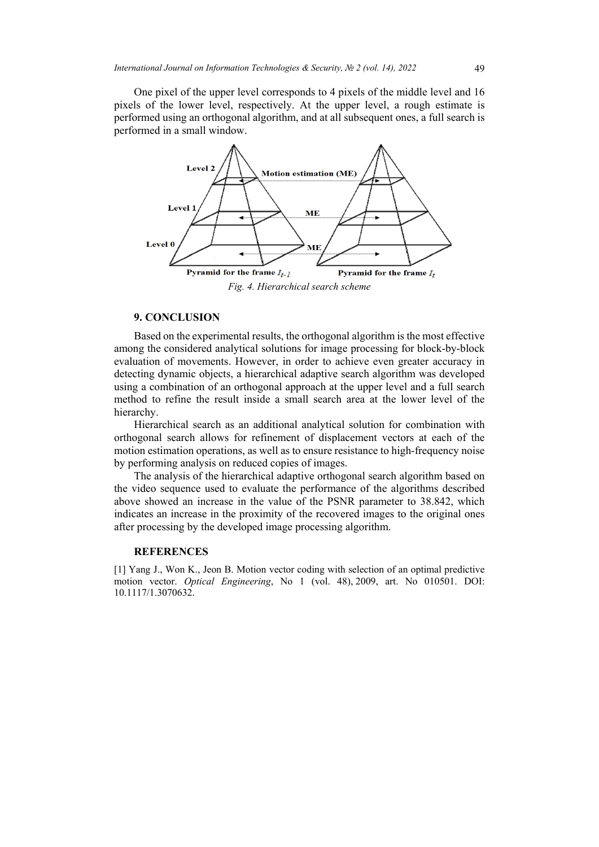One pixel of the upper level corresponds to 4 pixels of the middle level and 16 pixels of the lower level, respectively. At the upper level, a rough estimate is performed using an orthogonal algorithm, and at all subsequent ones, a full search is performed in a small window.



## **9. CONCLUSION**

Based on the experimental results, the orthogonal algorithm is the most effective among the considered analytical solutions for image processing for block-by-block evaluation of movements. However, in order to achieve even greater accuracy in detecting dynamic objects, a hierarchical adaptive search algorithm was developed using a combination of an orthogonal approach at the upper level and a full search method to refine the result inside a small search area at the lower level of the hierarchy.

Hierarchical search as an additional analytical solution for combination with orthogonal search allows for refinement of displacement vectors at each of the motion estimation operations, as well as to ensure resistance to high-frequency noise by performing analysis on reduced copies of images.

The analysis of the hierarchical adaptive orthogonal search algorithm based on the video sequence used to evaluate the performance of the algorithms described above showed an increase in the value of the PSNR parameter to 38.842, which indicates an increase in the proximity of the recovered images to the original ones after processing by the developed image processing algorithm.

#### **REFERENCES**

[1] Yang J., Won K., Jeon B. Motion vector coding with selection of an optimal predictive motion vector. *Optical Engineering*, No 1 (vol. 48), 2009, art. No 010501. DOI: 10.1117/1.3070632.